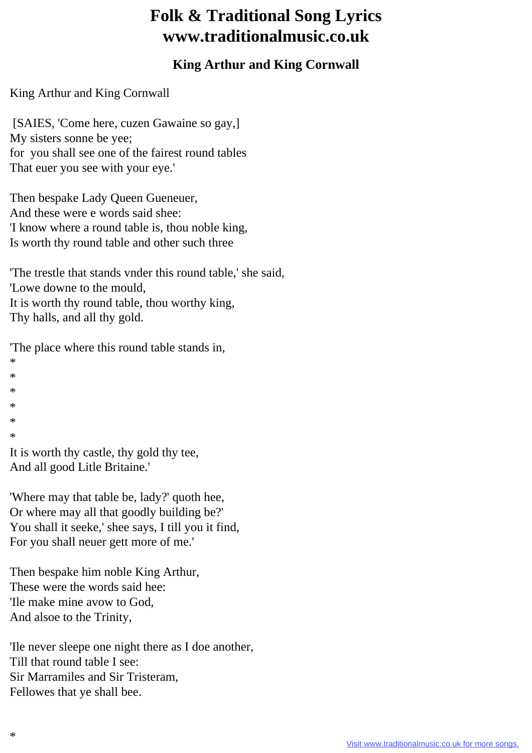## **Folk & Traditional Song Lyrics www.traditionalmusic.co.uk**

## **King Arthur and King Cornwall**

King Arthur and King Cornwall

 [SAIES, 'Come here, cuzen Gawaine so gay,] My sisters sonne be yee; for you shall see one of the fairest round tables That euer you see with your eye.'

Then bespake Lady Queen Gueneuer, And these were e words said shee: 'I know where a round table is, thou noble king, Is worth thy round table and other such three

'The trestle that stands vnder this round table,' she said, 'Lowe downe to the mould, It is worth thy round table, thou worthy king, Thy halls, and all thy gold.

'The place where this round table stands in,

\*

- \*
- \*
- \*
- \*
- \*

It is worth thy castle, thy gold thy tee, And all good Litle Britaine.'

'Where may that table be, lady?' quoth hee, Or where may all that goodly building be?' You shall it seeke,' shee says, I till you it find, For you shall neuer gett more of me.'

Then bespake him noble King Arthur, These were the words said hee: 'Ile make mine avow to God, And alsoe to the Trinity,

'Ile never sleepe one night there as I doe another, Till that round table I see: Sir Marramiles and Sir Tristeram, Fellowes that ye shall bee.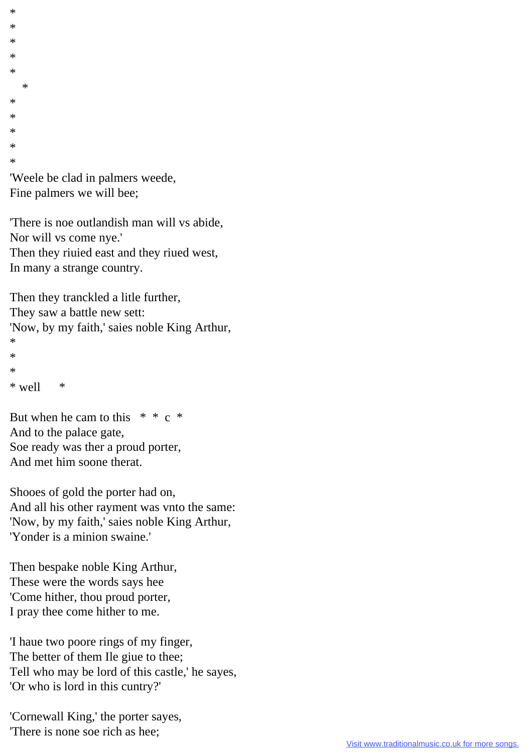\* \* \* \* \* \* \* \* \* \* \* 'Weele be clad in palmers weede,

Fine palmers we will bee;

'There is noe outlandish man will vs abide, Nor will vs come nye.' Then they riuied east and they riued west, In many a strange country.

Then they tranckled a litle further, They saw a battle new sett: 'Now, by my faith,' saies noble King Arthur, \*  $\ast$ \*  $*$  well  $*$ 

But when he cam to this  $* * c *$ And to the palace gate, Soe ready was ther a proud porter, And met him soone therat.

Shooes of gold the porter had on, And all his other rayment was vnto the same: 'Now, by my faith,' saies noble King Arthur, 'Yonder is a minion swaine.'

Then bespake noble King Arthur, These were the words says hee 'Come hither, thou proud porter, I pray thee come hither to me.

'I haue two poore rings of my finger, The better of them Ile giue to thee; Tell who may be lord of this castle,' he sayes, 'Or who is lord in this cuntry?'

'Cornewall King,' the porter sayes, 'There is none soe rich as hee;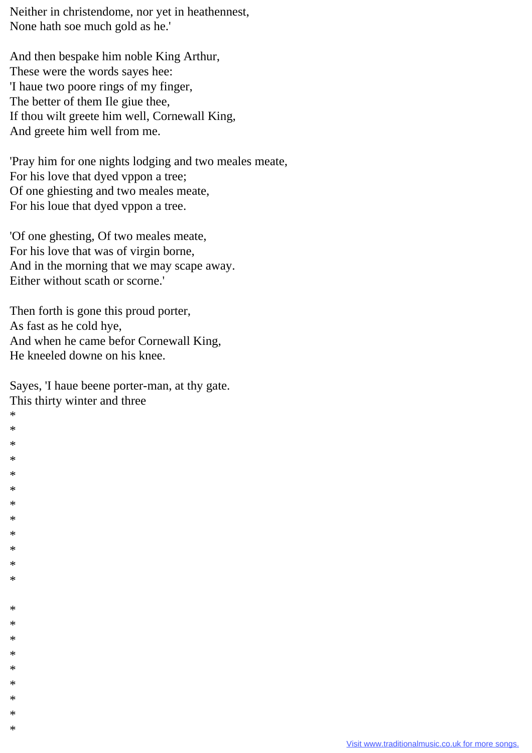Neither in christendome, nor yet in heathennest, None hath soe much gold as he.'

And then bespake him noble King Arthur, These were the words sayes hee: 'I haue two poore rings of my finger, The better of them Ile giue thee, If thou wilt greete him well, Cornewall King, And greete him well from me.

'Pray him for one nights lodging and two meales meate, For his love that dyed vppon a tree; Of one ghiesting and two meales meate, For his loue that dyed vppon a tree.

'Of one ghesting, Of two meales meate, For his love that was of virgin borne, And in the morning that we may scape away. Either without scath or scorne.'

Then forth is gone this proud porter, As fast as he cold hye, And when he came befor Cornewall King, He kneeled downe on his knee.

Sayes, 'I haue beene porter-man, at thy gate. This thirty winter and three

\* \* \* \* \* \* \* \* \* \* \* \*

\* \* \* \* \* \* \* \* \*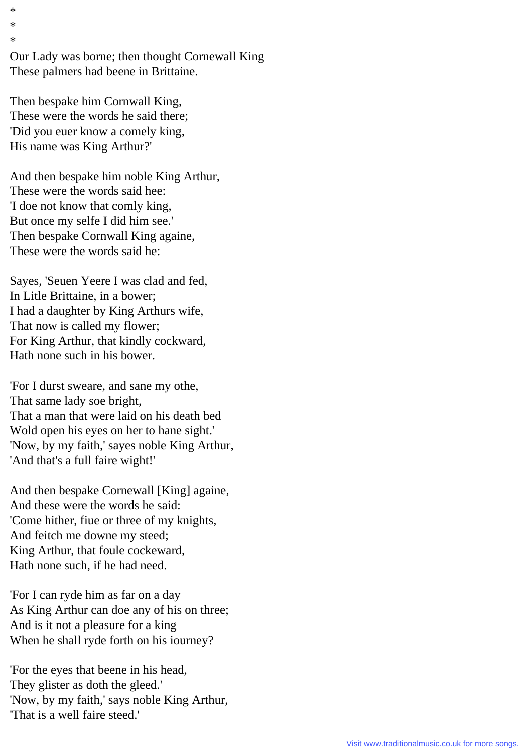Our Lady was borne; then thought Cornewall King These palmers had beene in Brittaine.

Then bespake him Cornwall King, These were the words he said there; 'Did you euer know a comely king, His name was King Arthur?'

\* \* \*

And then bespake him noble King Arthur, These were the words said hee: 'I doe not know that comly king, But once my selfe I did him see.' Then bespake Cornwall King againe, These were the words said he:

Sayes, 'Seuen Yeere I was clad and fed, In Litle Brittaine, in a bower; I had a daughter by King Arthurs wife, That now is called my flower; For King Arthur, that kindly cockward, Hath none such in his bower.

'For I durst sweare, and sane my othe, That same lady soe bright, That a man that were laid on his death bed Wold open his eyes on her to hane sight.' 'Now, by my faith,' sayes noble King Arthur, 'And that's a full faire wight!'

And then bespake Cornewall [King] againe, And these were the words he said: 'Come hither, fiue or three of my knights, And feitch me downe my steed; King Arthur, that foule cockeward, Hath none such, if he had need.

'For I can ryde him as far on a day As King Arthur can doe any of his on three; And is it not a pleasure for a king When he shall ryde forth on his iourney?

'For the eyes that beene in his head, They glister as doth the gleed.' 'Now, by my faith,' says noble King Arthur, 'That is a well faire steed.'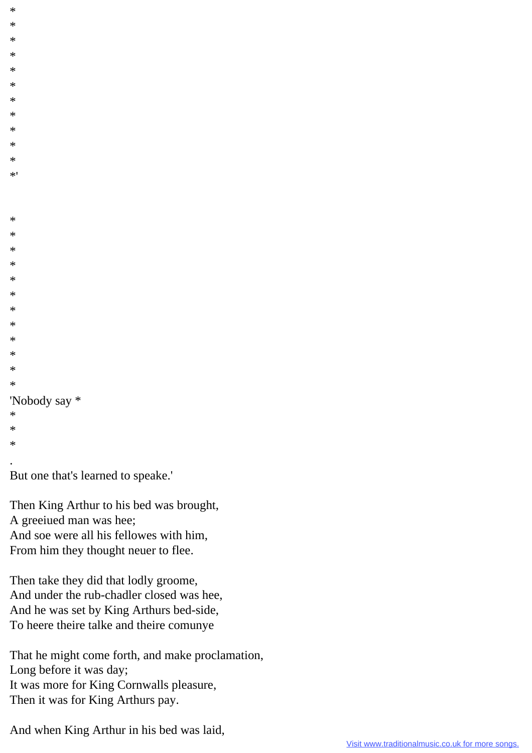```
\ast\ast\ast\ast\ast\ast\ast\ast\ast\ast\ast\star\ast\ast\ast\ast\ast\ast\ast\ast\ast\ast\ast\ast'Nobody say *
\ast\ast\astBut one that's learned to speake.'
```
Then King Arthur to his bed was brought, A greeiued man was hee; And soe were all his fellowes with him, From him they thought neuer to flee.

Then take they did that lodly groome, And under the rub-chadler closed was hee, And he was set by King Arthurs bed-side, To heere theire talke and theire comunye

That he might come forth, and make proclamation, Long before it was day; It was more for King Cornwalls pleasure, Then it was for King Arthurs pay.

And when King Arthur in his bed was laid,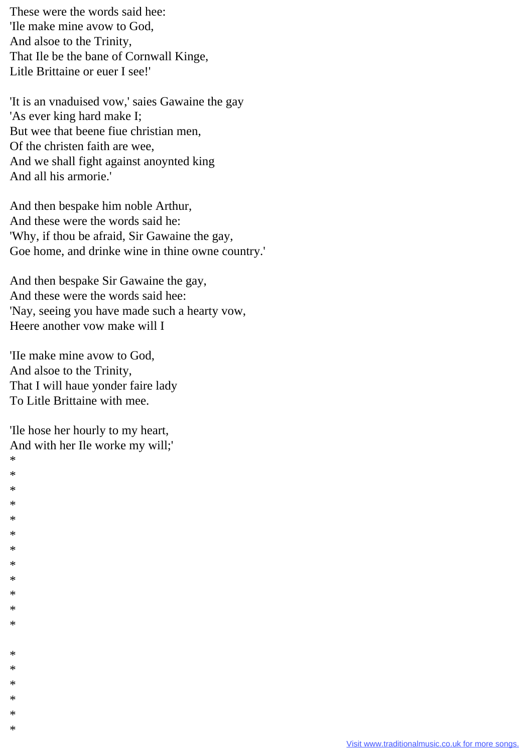These were the words said hee: 'Ile make mine avow to God, And alsoe to the Trinity, That Ile be the bane of Cornwall Kinge, Litle Brittaine or euer I see!'

'It is an vnaduised vow,' saies Gawaine the gay 'As ever king hard make I; But wee that beene fiue christian men, Of the christen faith are wee, And we shall fight against anoynted king And all his armorie.'

And then bespake him noble Arthur, And these were the words said he: 'Why, if thou be afraid, Sir Gawaine the gay, Goe home, and drinke wine in thine owne country.'

And then bespake Sir Gawaine the gay, And these were the words said hee: 'Nay, seeing you have made such a hearty vow, Heere another vow make will I

The make mine avow to God, And alsoe to the Trinity, That I will haue yonder faire lady To Litle Brittaine with mee.

The hose her hourly to my heart, And with her Ile worke my will;'

يو  $\ast$  $\ast$ يلا يلا  $\ast$ يلا  $\ast$  $\ast$  $\ast$  $\ast$  $\ast$ 

 $\ast$  $\ast$  $\ast$  $\ast$  $\ast$  $\ast$ 

| Visit www.traditionalmusic.co.uk for more songs. |
|--------------------------------------------------|
|                                                  |
|                                                  |
|                                                  |
|                                                  |
|                                                  |
|                                                  |
|                                                  |
|                                                  |
|                                                  |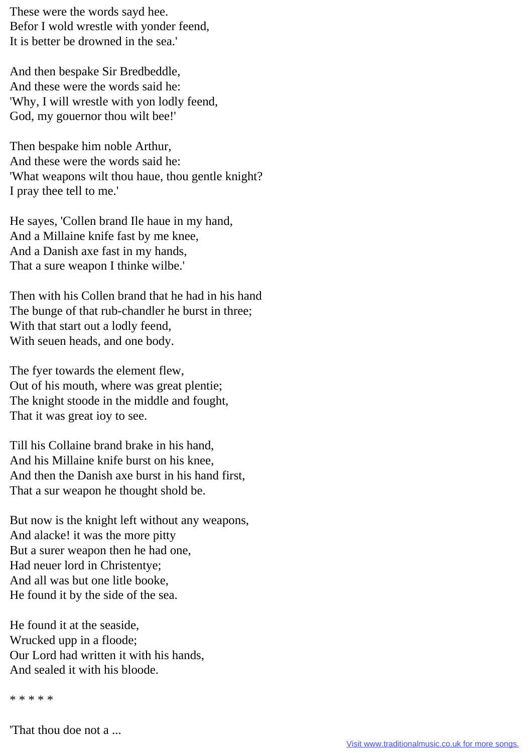These were the words sayd hee. Befor I wold wrestle with yonder feend, It is better be drowned in the sea.'

And then bespake Sir Bredbeddle, And these were the words said he: 'Why, I will wrestle with yon lodly feend, God, my gouernor thou wilt bee!'

Then bespake him noble Arthur, And these were the words said he: 'What weapons wilt thou haue, thou gentle knight? I pray thee tell to me.'

He sayes, 'Collen brand Ile haue in my hand, And a Millaine knife fast by me knee, And a Danish axe fast in my hands, That a sure weapon I thinke wilbe.'

Then with his Collen brand that he had in his hand The bunge of that rub-chandler he burst in three; With that start out a lodly feend, With seuen heads, and one body.

The fyer towards the element flew, Out of his mouth, where was great plentie; The knight stoode in the middle and fought, That it was great ioy to see.

Till his Collaine brand brake in his hand, And his Millaine knife burst on his knee, And then the Danish axe burst in his hand first, That a sur weapon he thought shold be.

But now is the knight left without any weapons, And alacke! it was the more pitty But a surer weapon then he had one, Had neuer lord in Christentye; And all was but one litle booke, He found it by the side of the sea.

He found it at the seaside, Wrucked upp in a floode; Our Lord had written it with his hands, And sealed it with his bloode.

\* \* \* \* \*

'That thou doe not a ...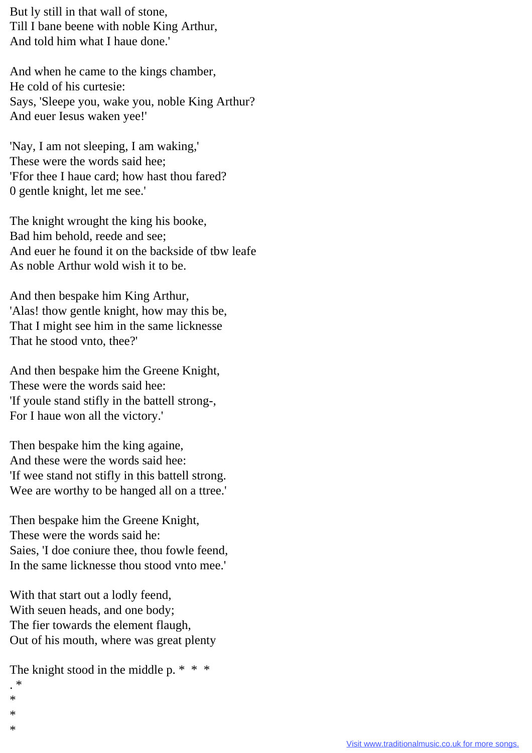But ly still in that wall of stone, Till I bane beene with noble King Arthur, And told him what I haue done.'

And when he came to the kings chamber, He cold of his curtesie: Says, 'Sleepe you, wake you, noble King Arthur? And euer Iesus waken yee!'

'Nay, I am not sleeping, I am waking,' These were the words said hee; 'Ffor thee I haue card; how hast thou fared? 0 gentle knight, let me see.'

The knight wrought the king his booke, Bad him behold, reede and see; And euer he found it on the backside of tbw leafe As noble Arthur wold wish it to be.

And then bespake him King Arthur, 'Alas! thow gentle knight, how may this be, That I might see him in the same licknesse That he stood vnto, thee?'

And then bespake him the Greene Knight, These were the words said hee: 'If youle stand stifly in the battell strong-, For I haue won all the victory.'

Then bespake him the king againe, And these were the words said hee: 'If wee stand not stifly in this battell strong. Wee are worthy to be hanged all on a ttree.'

Then bespake him the Greene Knight, These were the words said he: Saies, 'I doe coniure thee, thou fowle feend, In the same licknesse thou stood vnto mee.'

With that start out a lodly feend, With seuen heads, and one body; The fier towards the element flaugh, Out of his mouth, where was great plenty

The knight stood in the middle p. \* \* \*

- . \*
- \*
- \*
- \*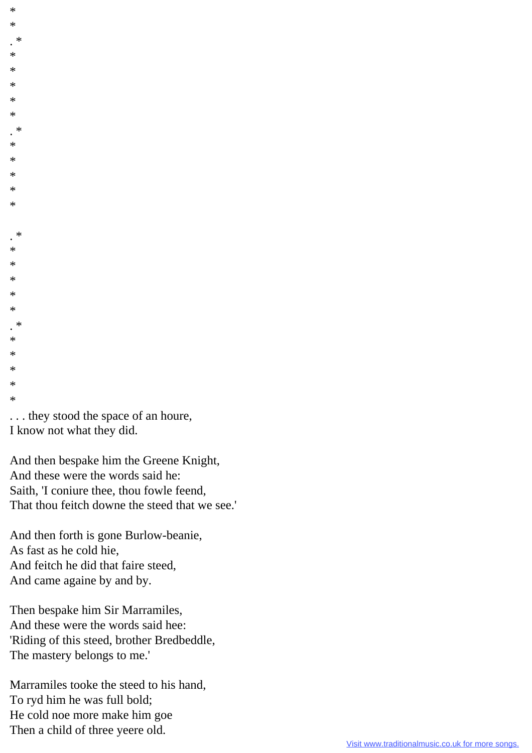| $\ast$                            |  |
|-----------------------------------|--|
| $\ast$                            |  |
| $\cdot$ $*$                       |  |
| $\ast$                            |  |
| $\ast$                            |  |
| $\ast$                            |  |
| $\ast$                            |  |
| $\ast$                            |  |
| $\cdot$                           |  |
| $\ast$                            |  |
| $\ast$                            |  |
| $\ast$                            |  |
| $\ast$                            |  |
| $\ast$                            |  |
|                                   |  |
| $\cdot$                           |  |
| $\ast$                            |  |
| $\ast$                            |  |
| $\ast$                            |  |
| $\ast$                            |  |
| $\ast$                            |  |
| $\cdot$ $*$                       |  |
| $\ast$                            |  |
| $\ast$                            |  |
| $\ast$                            |  |
| $\ast$                            |  |
| $\ast$                            |  |
| they stood the space of an houre, |  |
| I know not what they did.         |  |

And then bespake him the Greene Knight, And these were the words said he: Saith, 'I coniure thee, thou fowle feend, That thou feitch downe the steed that we see.'

And then forth is gone Burlow-beanie, As fast as he cold hie, And feitch he did that faire steed, And came againe by and by.

Then bespake him Sir Marramiles, And these were the words said hee: 'Riding of this steed, brother Bredbeddle, The mastery belongs to me.'

Marramiles tooke the steed to his hand, To ryd him he was full bold; He cold noe more make him goe Then a child of three yeere old.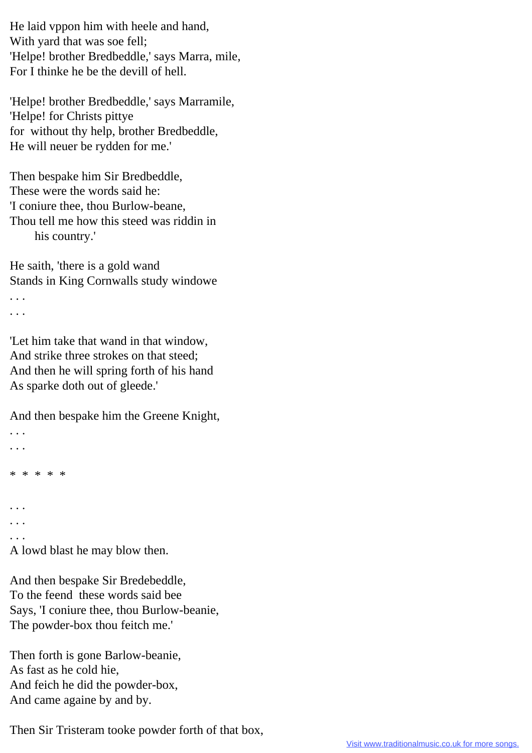He laid vppon him with heele and hand, With yard that was soe fell; 'Helpe! brother Bredbeddle,' says Marra, mile, For I thinke he be the devill of hell.

'Helpe! brother Bredbeddle,' says Marramile, 'Helpe! for Christs pittye for without thy help, brother Bredbeddle, He will neuer be rydden for me.'

Then bespake him Sir Bredbeddle, These were the words said he: 'I coniure thee, thou Burlow-beane, Thou tell me how this steed was riddin in his country.'

He saith, 'there is a gold wand Stands in King Cornwalls study windowe . . . . . .

'Let him take that wand in that window, And strike three strokes on that steed; And then he will spring forth of his hand As sparke doth out of gleede.'

And then bespake him the Greene Knight,

```
. . .
. . .
* * * * *
. . .
. . .
. . .
A lowd blast he may blow then.
```
And then bespake Sir Bredebeddle, To the feend these words said bee Says, 'I coniure thee, thou Burlow-beanie, The powder-box thou feitch me.'

Then forth is gone Barlow-beanie, As fast as he cold hie, And feich he did the powder-box, And came againe by and by.

Then Sir Tristeram tooke powder forth of that box,